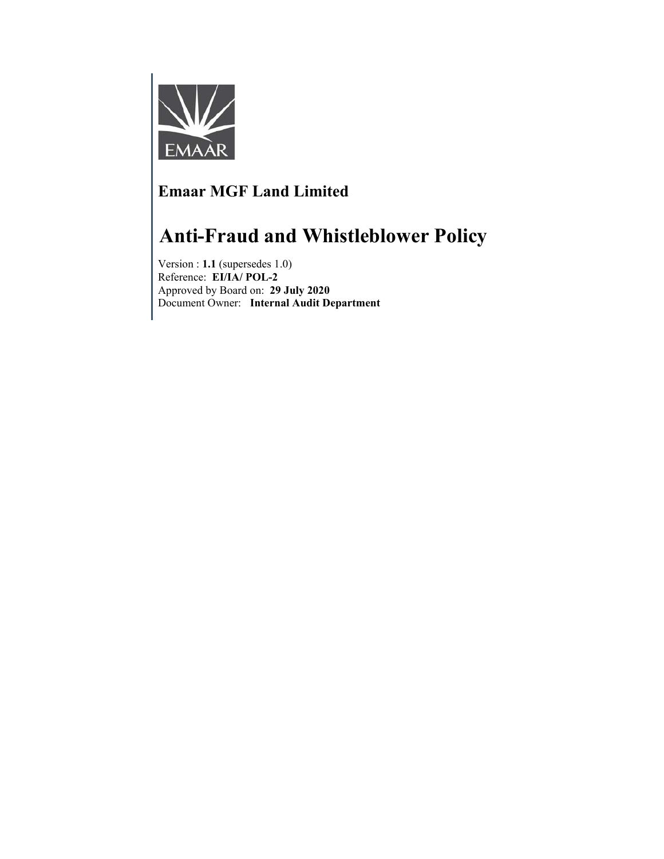

# **Emaar MGF Land Limited**

# **Anti-Fraud and Whistleblower Policy**

Version : **1.1** (supersedes 1.0) Reference: **EI/IA/ POL-2** Approved by Board on: **29 July 2020** Document Owner: **Internal Audit Department**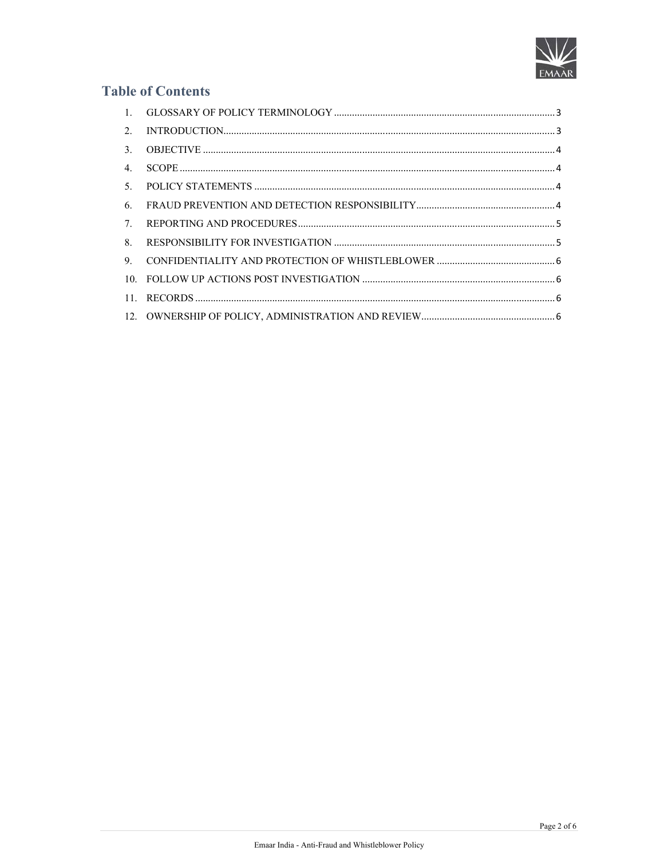

# **Table of Contents**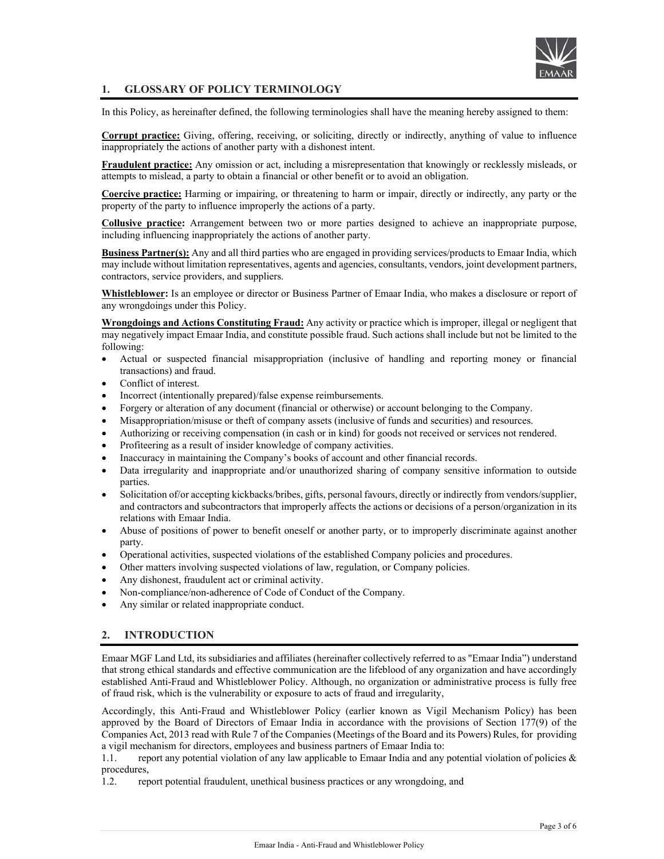

# **1. GLOSSARY OF POLICY TERMINOLOGY**

In this Policy, as hereinafter defined, the following terminologies shall have the meaning hereby assigned to them:

**Corrupt practice:** Giving, offering, receiving, or soliciting, directly or indirectly, anything of value to influence inappropriately the actions of another party with a dishonest intent.

**Fraudulent practice:** Any omission or act, including a misrepresentation that knowingly or recklessly misleads, or attempts to mislead, a party to obtain a financial or other benefit or to avoid an obligation.

**Coercive practice:** Harming or impairing, or threatening to harm or impair, directly or indirectly, any party or the property of the party to influence improperly the actions of a party.

**Collusive practice:** Arrangement between two or more parties designed to achieve an inappropriate purpose, including influencing inappropriately the actions of another party.

**Business Partner(s):** Any and all third parties who are engaged in providing services/products to Emaar India, which may include without limitation representatives, agents and agencies, consultants, vendors, joint development partners, contractors, service providers, and suppliers.

**Whistleblower:** Is an employee or director or Business Partner of Emaar India, who makes a disclosure or report of any wrongdoings under this Policy.

**Wrongdoings and Actions Constituting Fraud:** Any activity or practice which is improper, illegal or negligent that may negatively impact Emaar India, and constitute possible fraud. Such actions shall include but not be limited to the following:

- Actual or suspected financial misappropriation (inclusive of handling and reporting money or financial transactions) and fraud.
- Conflict of interest.
- Incorrect (intentionally prepared)/false expense reimbursements.
- Forgery or alteration of any document (financial or otherwise) or account belonging to the Company.
- Misappropriation/misuse or theft of company assets (inclusive of funds and securities) and resources.
- Authorizing or receiving compensation (in cash or in kind) for goods not received or services not rendered.
- Profiteering as a result of insider knowledge of company activities.
- Inaccuracy in maintaining the Company's books of account and other financial records.
- Data irregularity and inappropriate and/or unauthorized sharing of company sensitive information to outside parties.
- Solicitation of/or accepting kickbacks/bribes, gifts, personal favours, directly or indirectly from vendors/supplier, and contractors and subcontractors that improperly affects the actions or decisions of a person/organization in its relations with Emaar India.
- Abuse of positions of power to benefit oneself or another party, or to improperly discriminate against another party.
- Operational activities, suspected violations of the established Company policies and procedures.
- Other matters involving suspected violations of law, regulation, or Company policies.
- Any dishonest, fraudulent act or criminal activity.
- Non-compliance/non-adherence of Code of Conduct of the Company.
- Any similar or related inappropriate conduct.

# **2. INTRODUCTION**

Emaar MGF Land Ltd, its subsidiaries and affiliates (hereinafter collectively referred to as "Emaar India") understand that strong ethical standards and effective communication are the lifeblood of any organization and have accordingly established Anti-Fraud and Whistleblower Policy. Although, no organization or administrative process is fully free of fraud risk, which is the vulnerability or exposure to acts of fraud and irregularity,

Accordingly, this Anti-Fraud and Whistleblower Policy (earlier known as Vigil Mechanism Policy) has been approved by the Board of Directors of Emaar India in accordance with the provisions of Section 177(9) of the Companies Act, 2013 read with Rule 7 of the Companies (Meetings of the Board and its Powers) Rules, for providing a vigil mechanism for directors, employees and business partners of Emaar India to:

1.1. report any potential violation of any law applicable to Emaar India and any potential violation of policies & procedures,

1.2. report potential fraudulent, unethical business practices or any wrongdoing, and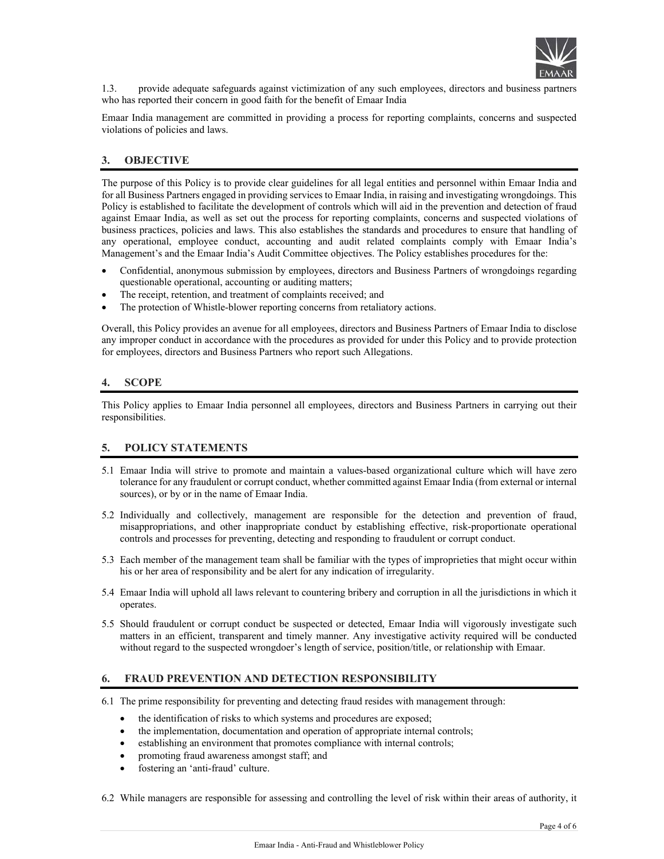

1.3. provide adequate safeguards against victimization of any such employees, directors and business partners who has reported their concern in good faith for the benefit of Emaar India

Emaar India management are committed in providing a process for reporting complaints, concerns and suspected violations of policies and laws.

# **3. OBJECTIVE**

The purpose of this Policy is to provide clear guidelines for all legal entities and personnel within Emaar India and for all Business Partners engaged in providing services to Emaar India, in raising and investigating wrongdoings. This Policy is established to facilitate the development of controls which will aid in the prevention and detection of fraud against Emaar India, as well as set out the process for reporting complaints, concerns and suspected violations of business practices, policies and laws. This also establishes the standards and procedures to ensure that handling of any operational, employee conduct, accounting and audit related complaints comply with Emaar India's Management's and the Emaar India's Audit Committee objectives. The Policy establishes procedures for the:

- Confidential, anonymous submission by employees, directors and Business Partners of wrongdoings regarding questionable operational, accounting or auditing matters;
- The receipt, retention, and treatment of complaints received; and
- The protection of Whistle-blower reporting concerns from retaliatory actions.

Overall, this Policy provides an avenue for all employees, directors and Business Partners of Emaar India to disclose any improper conduct in accordance with the procedures as provided for under this Policy and to provide protection for employees, directors and Business Partners who report such Allegations.

# **4. SCOPE**

This Policy applies to Emaar India personnel all employees, directors and Business Partners in carrying out their responsibilities.

# **5. POLICY STATEMENTS**

- 5.1 Emaar India will strive to promote and maintain a values-based organizational culture which will have zero tolerance for any fraudulent or corrupt conduct, whether committed against Emaar India (from external or internal sources), or by or in the name of Emaar India.
- 5.2 Individually and collectively, management are responsible for the detection and prevention of fraud, misappropriations, and other inappropriate conduct by establishing effective, risk-proportionate operational controls and processes for preventing, detecting and responding to fraudulent or corrupt conduct.
- 5.3 Each member of the management team shall be familiar with the types of improprieties that might occur within his or her area of responsibility and be alert for any indication of irregularity.
- 5.4 Emaar India will uphold all laws relevant to countering bribery and corruption in all the jurisdictions in which it operates.
- 5.5 Should fraudulent or corrupt conduct be suspected or detected, Emaar India will vigorously investigate such matters in an efficient, transparent and timely manner. Any investigative activity required will be conducted without regard to the suspected wrongdoer's length of service, position/title, or relationship with Emaar.

#### **6. FRAUD PREVENTION AND DETECTION RESPONSIBILITY**

- 6.1 The prime responsibility for preventing and detecting fraud resides with management through:
	- the identification of risks to which systems and procedures are exposed;
	- the implementation, documentation and operation of appropriate internal controls;
	- establishing an environment that promotes compliance with internal controls;
	- promoting fraud awareness amongst staff; and
	- fostering an 'anti-fraud' culture.

6.2 While managers are responsible for assessing and controlling the level of risk within their areas of authority, it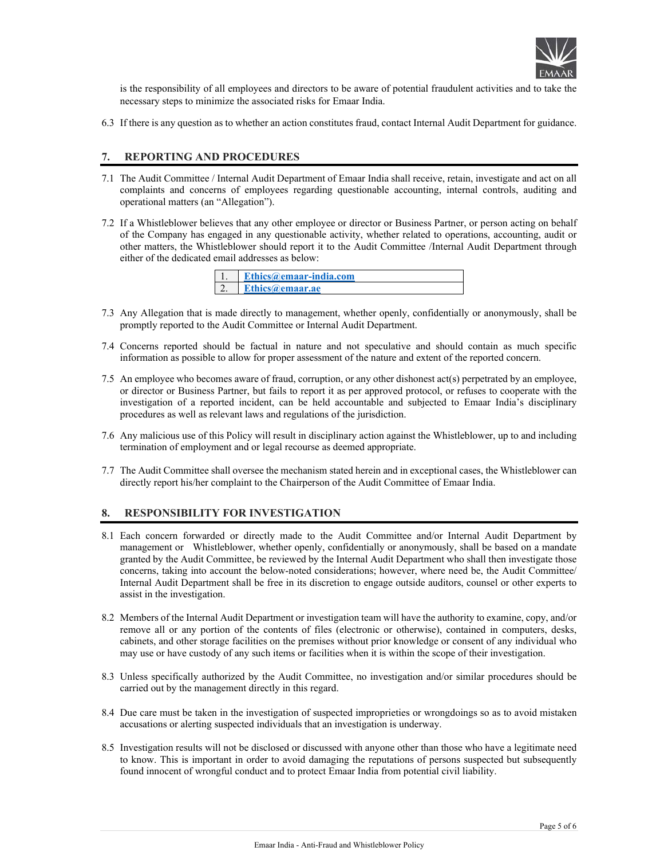

is the responsibility of all employees and directors to be aware of potential fraudulent activities and to take the necessary steps to minimize the associated risks for Emaar India.

6.3 If there is any question as to whether an action constitutes fraud, contact Internal Audit Department for guidance.

#### **7. REPORTING AND PROCEDURES**

- 7.1 The Audit Committee / Internal Audit Department of Emaar India shall receive, retain, investigate and act on all complaints and concerns of employees regarding questionable accounting, internal controls, auditing and operational matters (an "Allegation").
- 7.2 If a Whistleblower believes that any other employee or director or Business Partner, or person acting on behalf of the Company has engaged in any questionable activity, whether related to operations, accounting, audit or other matters, the Whistleblower should report it to the Audit Committee /Internal Audit Department through either of the dedicated email addresses as below:

| <b>Ethics@emaar-india.com</b> |
|-------------------------------|
| Ethics@emaar.ae               |

- 7.3 Any Allegation that is made directly to management, whether openly, confidentially or anonymously, shall be promptly reported to the Audit Committee or Internal Audit Department.
- 7.4 Concerns reported should be factual in nature and not speculative and should contain as much specific information as possible to allow for proper assessment of the nature and extent of the reported concern.
- 7.5 An employee who becomes aware of fraud, corruption, or any other dishonest act(s) perpetrated by an employee, or director or Business Partner, but fails to report it as per approved protocol, or refuses to cooperate with the investigation of a reported incident, can be held accountable and subjected to Emaar India's disciplinary procedures as well as relevant laws and regulations of the jurisdiction.
- 7.6 Any malicious use of this Policy will result in disciplinary action against the Whistleblower, up to and including termination of employment and or legal recourse as deemed appropriate.
- 7.7 The Audit Committee shall oversee the mechanism stated herein and in exceptional cases, the Whistleblower can directly report his/her complaint to the Chairperson of the Audit Committee of Emaar India.

# **8. RESPONSIBILITY FOR INVESTIGATION**

- 8.1 Each concern forwarded or directly made to the Audit Committee and/or Internal Audit Department by management or Whistleblower, whether openly, confidentially or anonymously, shall be based on a mandate granted by the Audit Committee, be reviewed by the Internal Audit Department who shall then investigate those concerns, taking into account the below-noted considerations; however, where need be, the Audit Committee/ Internal Audit Department shall be free in its discretion to engage outside auditors, counsel or other experts to assist in the investigation.
- 8.2 Members of the Internal Audit Department or investigation team will have the authority to examine, copy, and/or remove all or any portion of the contents of files (electronic or otherwise), contained in computers, desks, cabinets, and other storage facilities on the premises without prior knowledge or consent of any individual who may use or have custody of any such items or facilities when it is within the scope of their investigation.
- 8.3 Unless specifically authorized by the Audit Committee, no investigation and/or similar procedures should be carried out by the management directly in this regard.
- 8.4 Due care must be taken in the investigation of suspected improprieties or wrongdoings so as to avoid mistaken accusations or alerting suspected individuals that an investigation is underway.
- 8.5 Investigation results will not be disclosed or discussed with anyone other than those who have a legitimate need to know. This is important in order to avoid damaging the reputations of persons suspected but subsequently found innocent of wrongful conduct and to protect Emaar India from potential civil liability.